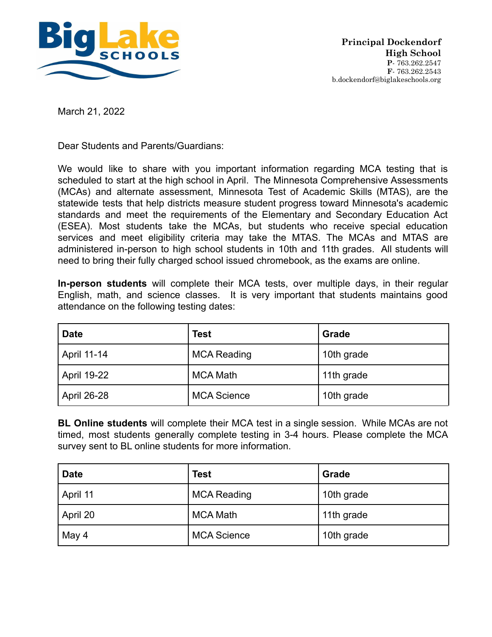

March 21, 2022

Dear Students and Parents/Guardians:

We would like to share with you important information regarding MCA testing that is scheduled to start at the high school in April. The Minnesota Comprehensive Assessments (MCAs) and alternate assessment, Minnesota Test of Academic Skills (MTAS), are the statewide tests that help districts measure student progress toward Minnesota's academic standards and meet the requirements of the Elementary and Secondary Education Act (ESEA). Most students take the MCAs, but students who receive special education services and meet eligibility criteria may take the MTAS. The MCAs and MTAS are administered in-person to high school students in 10th and 11th grades. All students will need to bring their fully charged school issued chromebook, as the exams are online.

**In-person students** will complete their MCA tests, over multiple days, in their regular English, math, and science classes. It is very important that students maintains good attendance on the following testing dates:

| <b>Date</b> | <b>Test</b>        | <b>Grade</b> |
|-------------|--------------------|--------------|
| April 11-14 | <b>MCA Reading</b> | 10th grade   |
| April 19-22 | <b>MCA Math</b>    | 11th grade   |
| April 26-28 | <b>MCA Science</b> | 10th grade   |

**BL Online students** will complete their MCA test in a single session. While MCAs are not timed, most students generally complete testing in 3-4 hours. Please complete the MCA survey sent to BL online students for more information.

| <b>Date</b> | <b>Test</b>        | Grade      |
|-------------|--------------------|------------|
| April 11    | <b>MCA Reading</b> | 10th grade |
| April 20    | <b>MCA Math</b>    | 11th grade |
| May 4       | <b>MCA Science</b> | 10th grade |